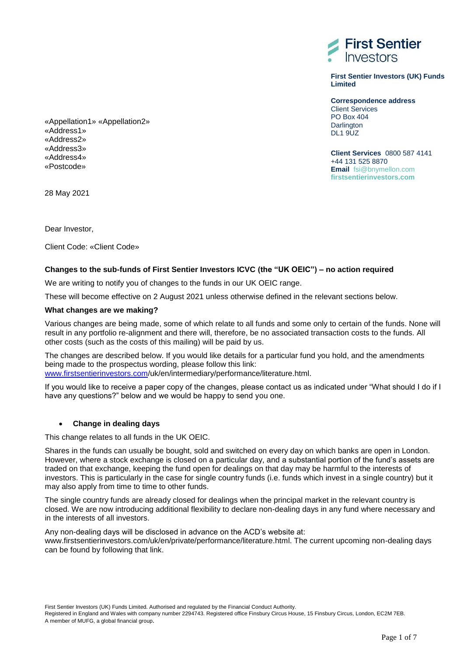

**First Sentier Investors (UK) Funds Limited**

**Correspondence address** Client Services PO Box 404 **Darlington DL1 9UZ** 

**Client Services** 0800 587 4141 +44 131 525 8870 **Email** fsi@bnymellon.com **firstsentierinvestors.com** 

«Appellation1» «Appellation2» «Address1» «Address2» «Address3» «Address4» «Postcode»

28 May 2021

Dear Investor,

Client Code: «Client Code»

## **Changes to the sub-funds of First Sentier Investors ICVC (the "UK OEIC") – no action required**

We are writing to notify you of changes to the funds in our UK OEIC range.

These will become effective on 2 August 2021 unless otherwise defined in the relevant sections below.

## **What changes are we making?**

Various changes are being made, some of which relate to all funds and some only to certain of the funds. None will result in any portfolio re-alignment and there will, therefore, be no associated transaction costs to the funds. All other costs (such as the costs of this mailing) will be paid by us.

The changes are described below. If you would like details for a particular fund you hold, and the amendments being made to the prospectus wording, please follow this link:

[www.firstsentierinvestors.com/](http://www.firstsentierinvestors.com/)uk/en/intermediary/performance/literature.html.

If you would like to receive a paper copy of the changes, please contact us as indicated under "What should I do if I have any questions?" below and we would be happy to send you one.

## **Change in dealing days**

This change relates to all funds in the UK OEIC.

Shares in the funds can usually be bought, sold and switched on every day on which banks are open in London. However, where a stock exchange is closed on a particular day, and a substantial portion of the fund's assets are traded on that exchange, keeping the fund open for dealings on that day may be harmful to the interests of investors. This is particularly in the case for single country funds (i.e. funds which invest in a single country) but it may also apply from time to time to other funds.

The single country funds are already closed for dealings when the principal market in the relevant country is closed. We are now introducing additional flexibility to declare non-dealing days in any fund where necessary and in the interests of all investors.

Any non-dealing days will be disclosed in advance on the ACD's website at:

www.firstsentierinvestors.com/uk/en/private/performance/literature.html. The current upcoming non-dealing days can be found by following that link.

First Sentier Investors (UK) Funds Limited. Authorised and regulated by the Financial Conduct Authority.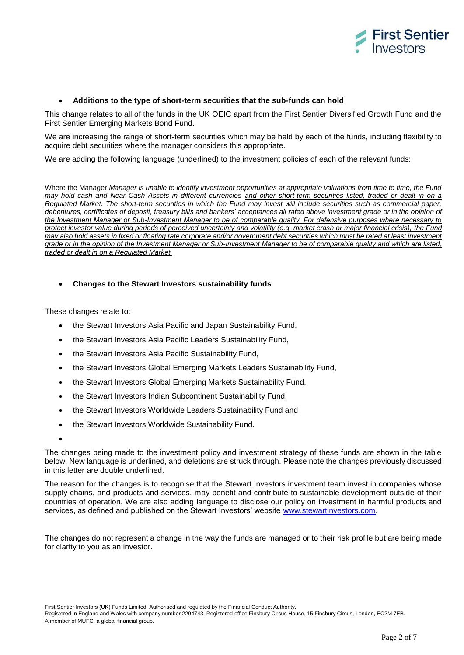

#### **Additions to the type of short-term securities that the sub-funds can hold**

This change relates to all of the funds in the UK OEIC apart from the First Sentier Diversified Growth Fund and the First Sentier Emerging Markets Bond Fund.

We are increasing the range of short-term securities which may be held by each of the funds, including flexibility to acquire debt securities where the manager considers this appropriate.

We are adding the following language (underlined) to the investment policies of each of the relevant funds:

Where the Manager *Manager is unable to identify investment opportunities at appropriate valuations from time to time, the Fund may hold cash and Near Cash Assets in different currencies and other short-term securities listed, traded or dealt in on a Regulated Market. The short-term securities in which the Fund may invest will include securities such as commercial paper, debentures, certificates of deposit, treasury bills and bankers' acceptances all rated above investment grade or in the opinion of the Investment Manager or Sub-Investment Manager to be of comparable quality. For defensive purposes where necessary to protect investor value during periods of perceived uncertainty and volatility (e.g. market crash or major financial crisis), the Fund may also hold assets in fixed or floating rate corporate and/or government debt securities which must be rated at least investment grade or in the opinion of the Investment Manager or Sub-Investment Manager to be of comparable quality and which are listed, traded or dealt in on a Regulated Market.*

#### **Changes to the Stewart Investors sustainability funds**

These changes relate to:

- the Stewart Investors Asia Pacific and Japan Sustainability Fund,
- the Stewart Investors Asia Pacific Leaders Sustainability Fund,
- the Stewart Investors Asia Pacific Sustainability Fund,
- the Stewart Investors Global Emerging Markets Leaders Sustainability Fund,
- the Stewart Investors Global Emerging Markets Sustainability Fund,
- the Stewart Investors Indian Subcontinent Sustainability Fund,
- the Stewart Investors Worldwide Leaders Sustainability Fund and
- the Stewart Investors Worldwide Sustainability Fund.

 $\bullet$ 

The changes being made to the investment policy and investment strategy of these funds are shown in the table below. New language is underlined, and deletions are struck through. Please note the changes previously discussed in this letter are double underlined.

The reason for the changes is to recognise that the Stewart Investors investment team invest in companies whose supply chains, and products and services, may benefit and contribute to sustainable development outside of their countries of operation. We are also adding language to disclose our policy on investment in harmful products and services, as defined and published on the Stewart Investors' website [www.stewartinvestors.com.](http://www.stewartinvestors.com/)

The changes do not represent a change in the way the funds are managed or to their risk profile but are being made for clarity to you as an investor.

First Sentier Investors (UK) Funds Limited. Authorised and regulated by the Financial Conduct Authority.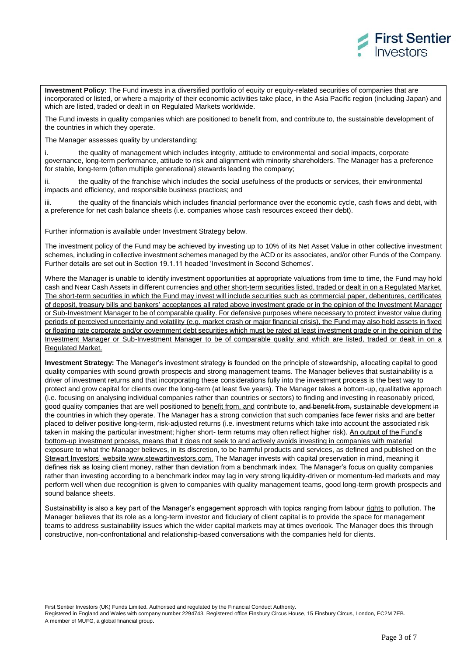

**Investment Policy:** The Fund invests in a diversified portfolio of equity or equity-related securities of companies that are incorporated or listed, or where a majority of their economic activities take place, in the Asia Pacific region (including Japan) and which are listed, traded or dealt in on Regulated Markets worldwide.

The Fund invests in quality companies which are positioned to benefit from, and contribute to, the sustainable development of the countries in which they operate.

The Manager assesses quality by understanding:

i. the quality of management which includes integrity, attitude to environmental and social impacts, corporate governance, long-term performance, attitude to risk and alignment with minority shareholders. The Manager has a preference for stable, long-term (often multiple generational) stewards leading the company;

ii. the quality of the franchise which includes the social usefulness of the products or services, their environmental impacts and efficiency, and responsible business practices; and

iii. the quality of the financials which includes financial performance over the economic cycle, cash flows and debt, with a preference for net cash balance sheets (i.e. companies whose cash resources exceed their debt).

Further information is available under Investment Strategy below.

The investment policy of the Fund may be achieved by investing up to 10% of its Net Asset Value in other collective investment schemes, including in collective investment schemes managed by the ACD or its associates, and/or other Funds of the Company. Further details are set out in Section 19.1.11 headed 'Investment in Second Schemes'.

Where the Manager is unable to identify investment opportunities at appropriate valuations from time to time, the Fund may hold cash and Near Cash Assets in different currencies and other short-term securities listed, traded or dealt in on a Regulated Market. The short-term securities in which the Fund may invest will include securities such as commercial paper, debentures, certificates of deposit, treasury bills and bankers' acceptances all rated above investment grade or in the opinion of the Investment Manager or Sub-Investment Manager to be of comparable quality. For defensive purposes where necessary to protect investor value during periods of perceived uncertainty and volatility (e.g. market crash or major financial crisis), the Fund may also hold assets in fixed or floating rate corporate and/or government debt securities which must be rated at least investment grade or in the opinion of the Investment Manager or Sub-Investment Manager to be of comparable quality and which are listed, traded or dealt in on a Regulated Market.

**Investment Strategy:** The Manager's investment strategy is founded on the principle of stewardship, allocating capital to good quality companies with sound growth prospects and strong management teams. The Manager believes that sustainability is a driver of investment returns and that incorporating these considerations fully into the investment process is the best way to protect and grow capital for clients over the long-term (at least five years). The Manager takes a bottom-up, qualitative approach (i.e. focusing on analysing individual companies rather than countries or sectors) to finding and investing in reasonably priced, good quality companies that are well positioned to benefit from, and contribute to, and benefit from, sustainable development in the countries in which they operate. The Manager has a strong conviction that such companies face fewer risks and are better placed to deliver positive long-term, risk-adjusted returns (i.e. investment returns which take into account the associated risk taken in making the particular investment; higher short- term returns may often reflect higher risk). An output of the Fund's bottom-up investment process, means that it does not seek to and actively avoids investing in companies with material exposure to what the Manager believes, in its discretion, to be harmful products and services, as defined and published on the Stewart Investors' website www.stewartinvestors.com. The Manager invests with capital preservation in mind, meaning it defines risk as losing client money, rather than deviation from a benchmark index. The Manager's focus on quality companies rather than investing according to a benchmark index may lag in very strong liquidity-driven or momentum-led markets and may perform well when due recognition is given to companies with quality management teams, good long-term growth prospects and sound balance sheets.

Sustainability is also a key part of the Manager's engagement approach with topics ranging from labour rights to pollution. The Manager believes that its role as a long-term investor and fiduciary of client capital is to provide the space for management teams to address sustainability issues which the wider capital markets may at times overlook. The Manager does this through constructive, non-confrontational and relationship-based conversations with the companies held for clients.

First Sentier Investors (UK) Funds Limited. Authorised and regulated by the Financial Conduct Authority.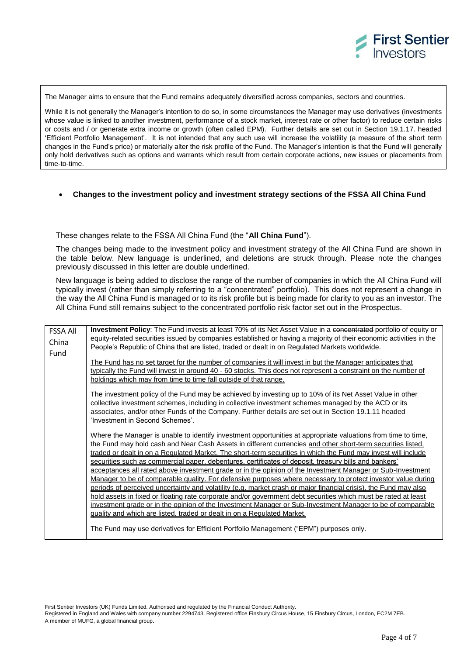

The Manager aims to ensure that the Fund remains adequately diversified across companies, sectors and countries.

While it is not generally the Manager's intention to do so, in some circumstances the Manager may use derivatives (investments whose value is linked to another investment, performance of a stock market, interest rate or other factor) to reduce certain risks or costs and / or generate extra income or growth (often called EPM). Further details are set out in Section 19.1.17. headed 'Efficient Portfolio Management'. It is not intended that any such use will increase the volatility (a measure of the short term changes in the Fund's price) or materially alter the risk profile of the Fund. The Manager's intention is that the Fund will generally only hold derivatives such as options and warrants which result from certain corporate actions, new issues or placements from time-to-time.

#### **Changes to the investment policy and investment strategy sections of the FSSA All China Fund**

These changes relate to the FSSA All China Fund (the "**All China Fund**").

The changes being made to the investment policy and investment strategy of the All China Fund are shown in the table below. New language is underlined, and deletions are struck through. Please note the changes previously discussed in this letter are double underlined.

New language is being added to disclose the range of the number of companies in which the All China Fund will typically invest (rather than simply referring to a "concentrated" portfolio). This does not represent a change in the way the All China Fund is managed or to its risk profile but is being made for clarity to you as an investor. The All China Fund still remains subject to the concentrated portfolio risk factor set out in the Prospectus.

| <b>FSSA All</b> | Investment Policy: The Fund invests at least 70% of its Net Asset Value in a concentrated portfolio of equity or   |  |  |
|-----------------|--------------------------------------------------------------------------------------------------------------------|--|--|
| China           | equity-related securities issued by companies established or having a majority of their economic activities in the |  |  |
|                 | People's Republic of China that are listed, traded or dealt in on Regulated Markets worldwide.                     |  |  |
| Fund            |                                                                                                                    |  |  |
|                 | The Fund has no set target for the number of companies it will invest in but the Manager anticipates that          |  |  |
|                 | typically the Fund will invest in around 40 - 60 stocks. This does not represent a constraint on the number of     |  |  |
|                 | holdings which may from time to time fall outside of that range.                                                   |  |  |
|                 | The investment policy of the Fund may be achieved by investing up to 10% of its Net Asset Value in other           |  |  |
|                 | collective investment schemes, including in collective investment schemes managed by the ACD or its                |  |  |
|                 | associates, and/or other Funds of the Company. Further details are set out in Section 19.1.11 headed               |  |  |
|                 | 'Investment in Second Schemes'.                                                                                    |  |  |
|                 |                                                                                                                    |  |  |
|                 | Where the Manager is unable to identify investment opportunities at appropriate valuations from time to time,      |  |  |
|                 | the Fund may hold cash and Near Cash Assets in different currencies and other short-term securities listed,        |  |  |
|                 | traded or dealt in on a Regulated Market. The short-term securities in which the Fund may invest will include      |  |  |
|                 | securities such as commercial paper, debentures, certificates of deposit, treasury bills and bankers'              |  |  |
|                 | acceptances all rated above investment grade or in the opinion of the Investment Manager or Sub-Investment         |  |  |
|                 | Manager to be of comparable quality. For defensive purposes where necessary to protect investor value during       |  |  |
|                 | periods of perceived uncertainty and volatility (e.g. market crash or major financial crisis), the Fund may also   |  |  |
|                 | hold assets in fixed or floating rate corporate and/or government debt securities which must be rated at least     |  |  |
|                 | investment grade or in the opinion of the Investment Manager or Sub-Investment Manager to be of comparable         |  |  |
|                 | quality and which are listed, traded or dealt in on a Regulated Market.                                            |  |  |
|                 | The Fund may use derivatives for Efficient Portfolio Management ("EPM") purposes only.                             |  |  |

First Sentier Investors (UK) Funds Limited. Authorised and regulated by the Financial Conduct Authority.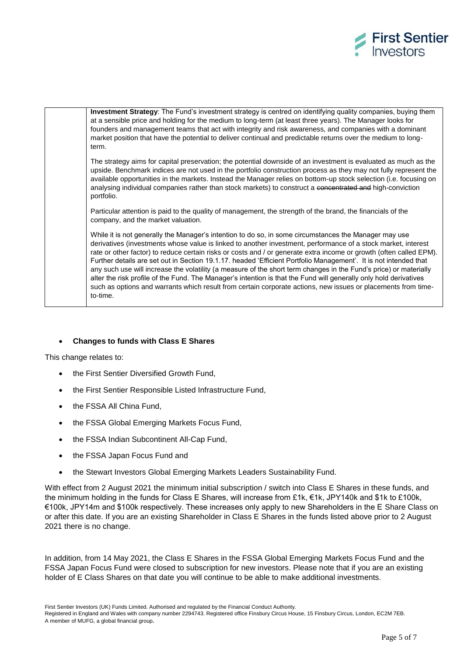



## **Changes to funds with Class E Shares**

This change relates to:

- the First Sentier Diversified Growth Fund,
- the First Sentier Responsible Listed Infrastructure Fund,
- the FSSA All China Fund.
- the FSSA Global Emerging Markets Focus Fund,
- the FSSA Indian Subcontinent All-Cap Fund,
- the FSSA Japan Focus Fund and
- the Stewart Investors Global Emerging Markets Leaders Sustainability Fund.

With effect from 2 August 2021 the minimum initial subscription / switch into Class E Shares in these funds, and the minimum holding in the funds for Class E Shares, will increase from £1k, €1k, JPY140k and \$1k to £100k, €100k, JPY14m and \$100k respectively. These increases only apply to new Shareholders in the E Share Class on or after this date. If you are an existing Shareholder in Class E Shares in the funds listed above prior to 2 August 2021 there is no change.

In addition, from 14 May 2021, the Class E Shares in the FSSA Global Emerging Markets Focus Fund and the FSSA Japan Focus Fund were closed to subscription for new investors. Please note that if you are an existing holder of E Class Shares on that date you will continue to be able to make additional investments.

First Sentier Investors (UK) Funds Limited. Authorised and regulated by the Financial Conduct Authority.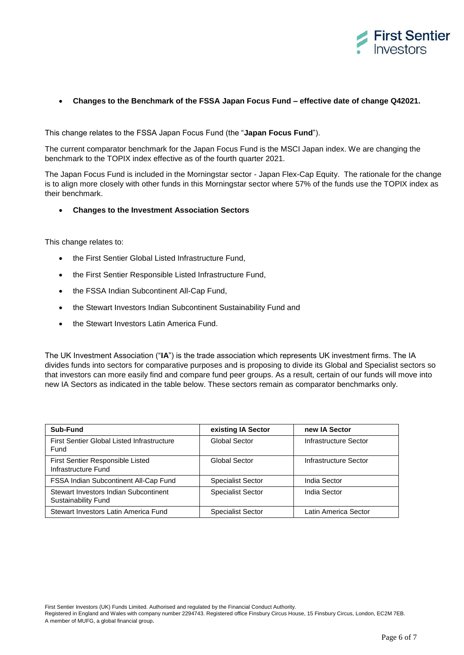

# **Changes to the Benchmark of the FSSA Japan Focus Fund – effective date of change Q42021.**

This change relates to the FSSA Japan Focus Fund (the "**Japan Focus Fund**").

The current comparator benchmark for the Japan Focus Fund is the MSCI Japan index. We are changing the benchmark to the TOPIX index effective as of the fourth quarter 2021.

The Japan Focus Fund is included in the Morningstar sector - Japan Flex-Cap Equity. The rationale for the change is to align more closely with other funds in this Morningstar sector where 57% of the funds use the TOPIX index as their benchmark.

## **Changes to the Investment Association Sectors**

This change relates to:

- the First Sentier Global Listed Infrastructure Fund.
- the First Sentier Responsible Listed Infrastructure Fund,
- the FSSA Indian Subcontinent All-Cap Fund,
- the Stewart Investors Indian Subcontinent Sustainability Fund and
- the Stewart Investors Latin America Fund.

The UK Investment Association ("**IA**") is the trade association which represents UK investment firms. The IA divides funds into sectors for comparative purposes and is proposing to divide its Global and Specialist sectors so that investors can more easily find and compare fund peer groups. As a result, certain of our funds will move into new IA Sectors as indicated in the table below. These sectors remain as comparator benchmarks only.

| Sub-Fund                                                            | existing IA Sector       | new IA Sector         |
|---------------------------------------------------------------------|--------------------------|-----------------------|
| First Sentier Global Listed Infrastructure<br>Fund                  | Global Sector            | Infrastructure Sector |
| First Sentier Responsible Listed<br>Infrastructure Fund             | Global Sector            | Infrastructure Sector |
| FSSA Indian Subcontinent All-Cap Fund                               | <b>Specialist Sector</b> | India Sector          |
| Stewart Investors Indian Subcontinent<br><b>Sustainability Fund</b> | <b>Specialist Sector</b> | India Sector          |
| Stewart Investors Latin America Fund                                | <b>Specialist Sector</b> | Latin America Sector  |

First Sentier Investors (UK) Funds Limited. Authorised and regulated by the Financial Conduct Authority.